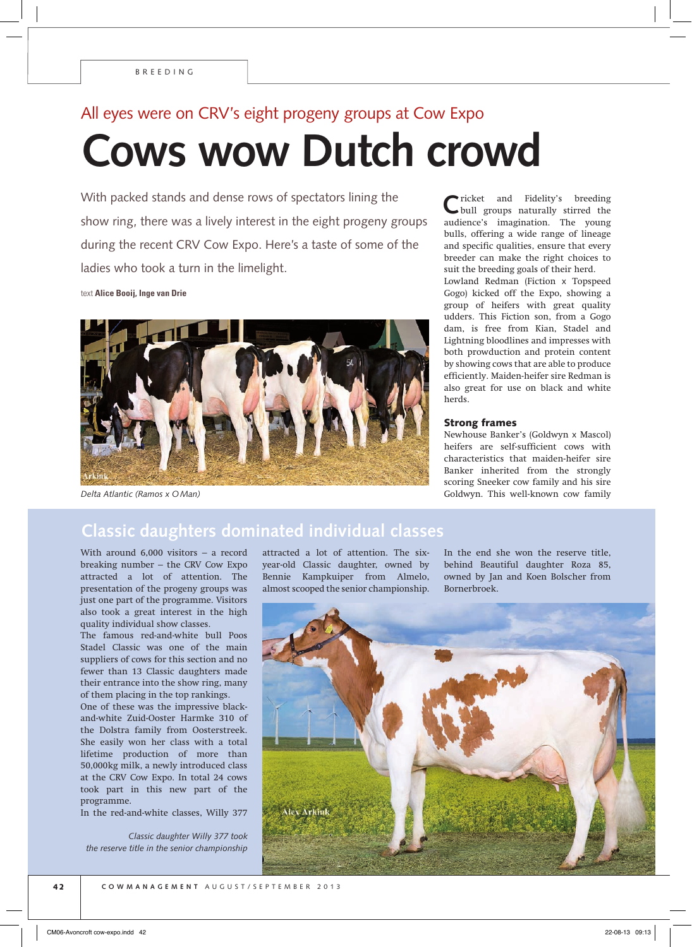## All eyes were on CRV's eight progeny groups at Cow Expo **Cows wow Dutch crowd**

With packed stands and dense rows of spectators lining the show ring, there was a lively interest in the eight progeny groups during the recent CRV Cow Expo. Here's a taste of some of the ladies who took a turn in the limelight.

text **Alice Booij, Inge van Drie**



*Delta Atlantic (Ramos x OMan)*

**C**ricket and Fidelity's breeding bull groups naturally stirred the audience's imagination. The young bulls, offering a wide range of lineage and specific qualities, ensure that every breeder can make the right choices to suit the breeding goals of their herd. Lowland Redman (Fiction x Topspeed Gogo) kicked off the Expo, showing a group of heifers with great quality udders. This Fiction son, from a Gogo dam, is free from Kian, Stadel and Lightning bloodlines and impresses with both prowduction and protein content by showing cows that are able to produce efficiently. Maiden-heifer sire Redman is also great for use on black and white herds.

## Strong frames

Newhouse Banker's (Goldwyn x Mascol) heifers are self-sufficient cows with characteristics that maiden-heifer sire Banker inherited from the strongly scoring Sneeker cow family and his sire Goldwyn. This well-known cow family

## **Classic daughters dominated individual classes**

With around 6,000 visitors – a record breaking number – the CRV Cow Expo attracted a lot of attention. The presentation of the progeny groups was just one part of the programme. Visitors also took a great interest in the high quality individual show classes.

The famous red-and-white bull Poos Stadel Classic was one of the main suppliers of cows for this section and no fewer than 13 Classic daughters made their entrance into the show ring, many of them placing in the top rankings.

One of these was the impressive blackand-white Zuid-Ooster Harmke 310 of the Dolstra family from Oosterstreek. She easily won her class with a total lifetime production of more than 50,000kg milk, a newly introduced class at the CRV Cow Expo. In total 24 cows took part in this new part of the programme.

In the red-and-white classes, Willy 377

*Classic daughter Willy 377 took the reserve title in the senior championship* attracted a lot of attention. The sixyear-old Classic daughter, owned by Bennie Kampkuiper from Almelo, almost scooped the senior championship.

In the end she won the reserve title, behind Beautiful daughter Roza 85, owned by Jan and Koen Bolscher from Bornerbroek.